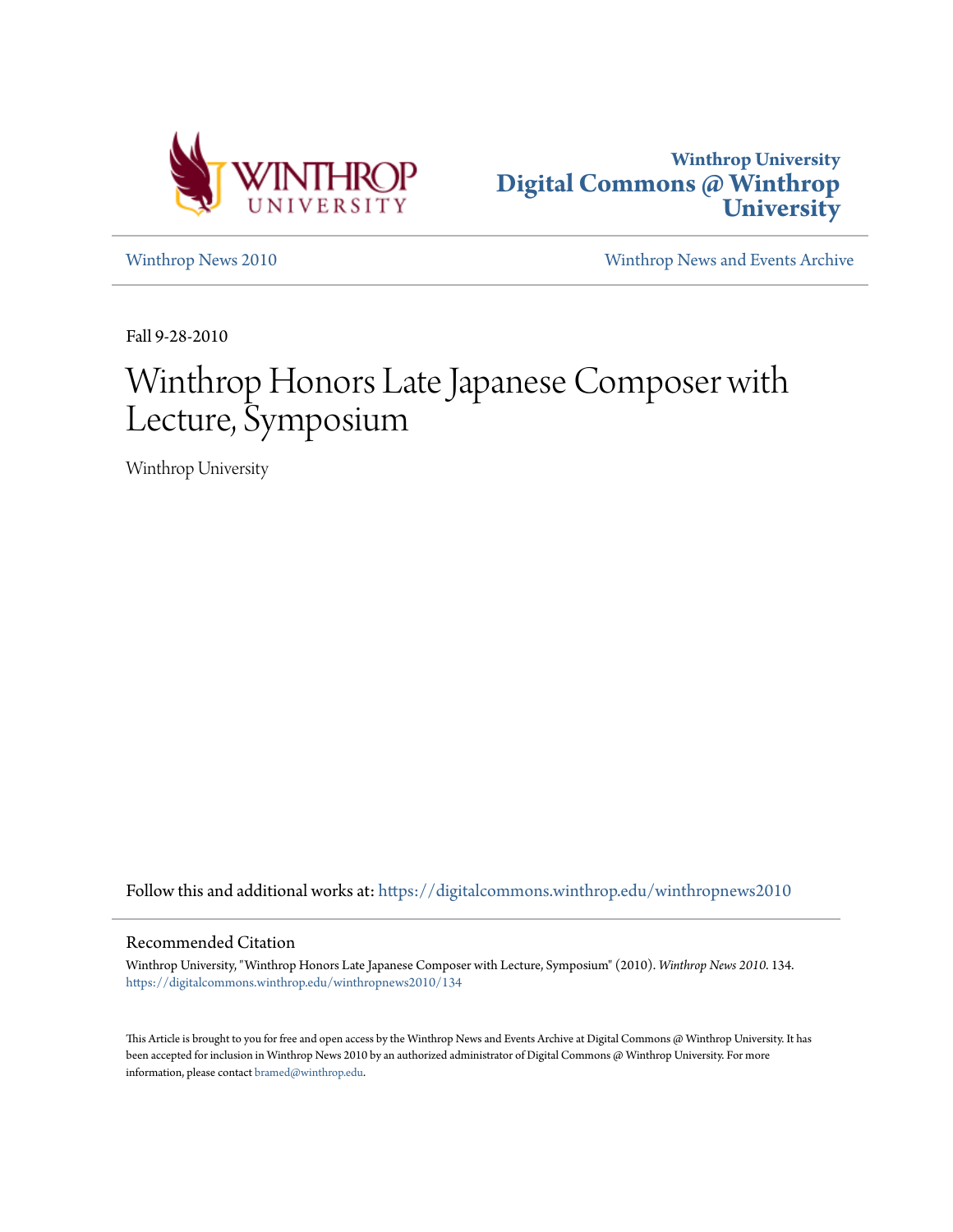



[Winthrop News 2010](https://digitalcommons.winthrop.edu/winthropnews2010?utm_source=digitalcommons.winthrop.edu%2Fwinthropnews2010%2F134&utm_medium=PDF&utm_campaign=PDFCoverPages) [Winthrop News and Events Archive](https://digitalcommons.winthrop.edu/winthropnewsarchives?utm_source=digitalcommons.winthrop.edu%2Fwinthropnews2010%2F134&utm_medium=PDF&utm_campaign=PDFCoverPages)

Fall 9-28-2010

# Winthrop Honors Late Japanese Composer with Lecture, Symposium

Winthrop University

Follow this and additional works at: [https://digitalcommons.winthrop.edu/winthropnews2010](https://digitalcommons.winthrop.edu/winthropnews2010?utm_source=digitalcommons.winthrop.edu%2Fwinthropnews2010%2F134&utm_medium=PDF&utm_campaign=PDFCoverPages)

#### Recommended Citation

Winthrop University, "Winthrop Honors Late Japanese Composer with Lecture, Symposium" (2010). *Winthrop News 2010*. 134. [https://digitalcommons.winthrop.edu/winthropnews2010/134](https://digitalcommons.winthrop.edu/winthropnews2010/134?utm_source=digitalcommons.winthrop.edu%2Fwinthropnews2010%2F134&utm_medium=PDF&utm_campaign=PDFCoverPages)

This Article is brought to you for free and open access by the Winthrop News and Events Archive at Digital Commons @ Winthrop University. It has been accepted for inclusion in Winthrop News 2010 by an authorized administrator of Digital Commons @ Winthrop University. For more information, please contact [bramed@winthrop.edu](mailto:bramed@winthrop.edu).